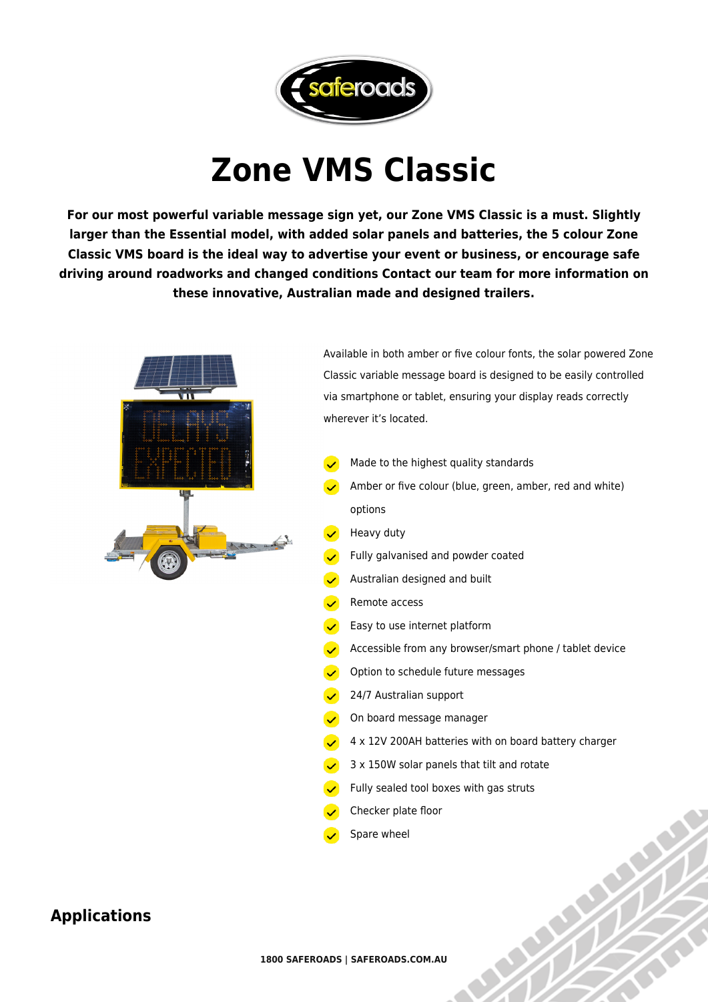

## **Zone VMS Classic**

**For our most powerful variable message sign yet, our Zone VMS Classic is a must. Slightly larger than the Essential model, with added solar panels and batteries, the 5 colour Zone Classic VMS board is the ideal way to advertise your event or business, or encourage safe driving around roadworks and changed conditions Contact our team for more information on these innovative, Australian made and designed trailers.**



Available in both amber or five colour fonts, the solar powered Zone Classic variable message board is designed to be easily controlled via smartphone or tablet, ensuring your display reads correctly wherever it's located.

- Made to the highest quality standards
- Amber or five colour (blue, green, amber, red and white) options
- Heavy duty
- Fully galvanised and powder coated
- Australian designed and built
- Remote access
- Easy to use internet platform
- Accessible from any browser/smart phone / tablet device
- Option to schedule future messages
- $\sqrt{24/7}$  Australian support
- $\sqrt{\phantom{a}}$  On board message manager
- 4 x 12V 200AH batteries with on board battery charger
- 3 x 150W solar panels that tilt and rotate
- Fully sealed tool boxes with gas struts
- Checker plate floor
- Spare wheel

## **Applications**

**1800 SAFEROADS | SAFEROADS.COM.AU**